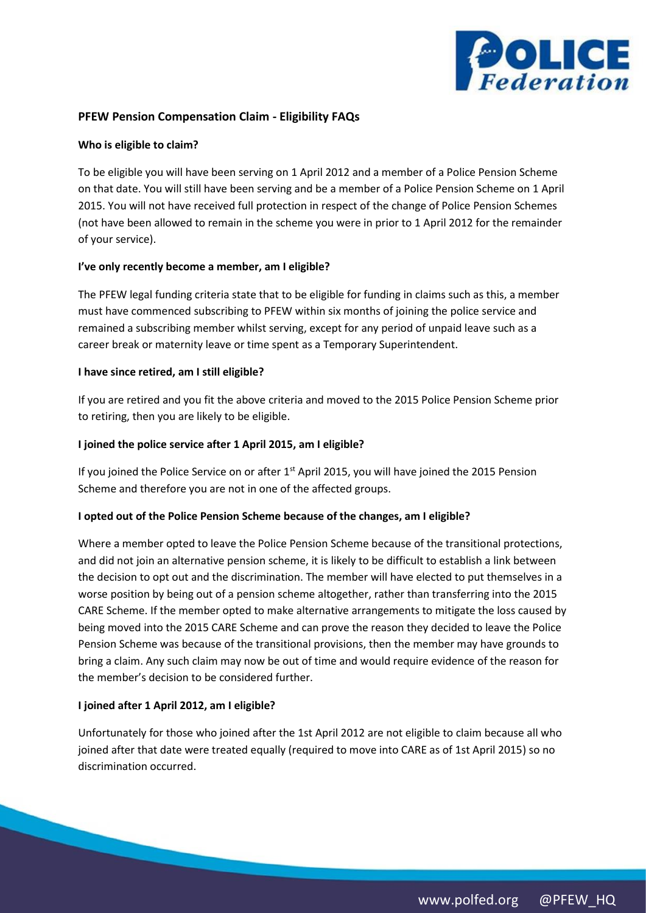

# **PFEW Pension Compensation Claim - Eligibility FAQs**

#### **Who is eligible to claim?**

To be eligible you will have been serving on 1 April 2012 and a member of a Police Pension Scheme on that date. You will still have been serving and be a member of a Police Pension Scheme on 1 April 2015. You will not have received full protection in respect of the change of Police Pension Schemes (not have been allowed to remain in the scheme you were in prior to 1 April 2012 for the remainder of your service).

#### **I've only recently become a member, am I eligible?**

The PFEW legal funding criteria state that to be eligible for funding in claims such as this, a member must have commenced subscribing to PFEW within six months of joining the police service and remained a subscribing member whilst serving, except for any period of unpaid leave such as a career break or maternity leave or time spent as a Temporary Superintendent.

#### **I have since retired, am I still eligible?**

If you are retired and you fit the above criteria and moved to the 2015 Police Pension Scheme prior to retiring, then you are likely to be eligible.

## **I joined the police service after 1 April 2015, am I eligible?**

If you joined the Police Service on or after 1<sup>st</sup> April 2015, you will have joined the 2015 Pension Scheme and therefore you are not in one of the affected groups.

## **I opted out of the Police Pension Scheme because of the changes, am I eligible?**

Where a member opted to leave the Police Pension Scheme because of the transitional protections, and did not join an alternative pension scheme, it is likely to be difficult to establish a link between the decision to opt out and the discrimination. The member will have elected to put themselves in a worse position by being out of a pension scheme altogether, rather than transferring into the 2015 CARE Scheme. If the member opted to make alternative arrangements to mitigate the loss caused by being moved into the 2015 CARE Scheme and can prove the reason they decided to leave the Police Pension Scheme was because of the transitional provisions, then the member may have grounds to bring a claim. Any such claim may now be out of time and would require evidence of the reason for the member's decision to be considered further.

## **I joined after 1 April 2012, am I eligible?**

Unfortunately for those who joined after the 1st April 2012 are not eligible to claim because all who joined after that date were treated equally (required to move into CARE as of 1st April 2015) so no discrimination occurred.